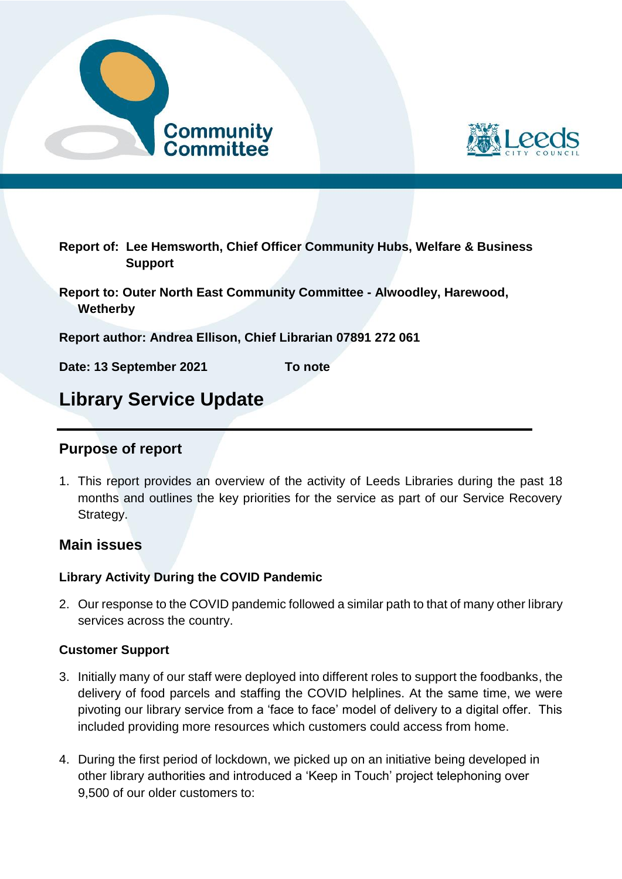



**Report of: Lee Hemsworth, Chief Officer Community Hubs, Welfare & Business Support**

**Report to: Outer North East Community Committee - Alwoodley, Harewood, Wetherby**

**Report author: Andrea Ellison, Chief Librarian 07891 272 061**

**Date: 13 September 2021 To note** 

# **Library Service Update**

## **Purpose of report**

1. This report provides an overview of the activity of Leeds Libraries during the past 18 months and outlines the key priorities for the service as part of our Service Recovery Strategy.

## **Main issues**

#### **Library Activity During the COVID Pandemic**

2. Our response to the COVID pandemic followed a similar path to that of many other library services across the country.

#### **Customer Support**

- 3. Initially many of our staff were deployed into different roles to support the foodbanks, the delivery of food parcels and staffing the COVID helplines. At the same time, we were pivoting our library service from a 'face to face' model of delivery to a digital offer. This included providing more resources which customers could access from home.
- 4. During the first period of lockdown, we picked up on an initiative being developed in other library authorities and introduced a 'Keep in Touch' project telephoning over 9,500 of our older customers to: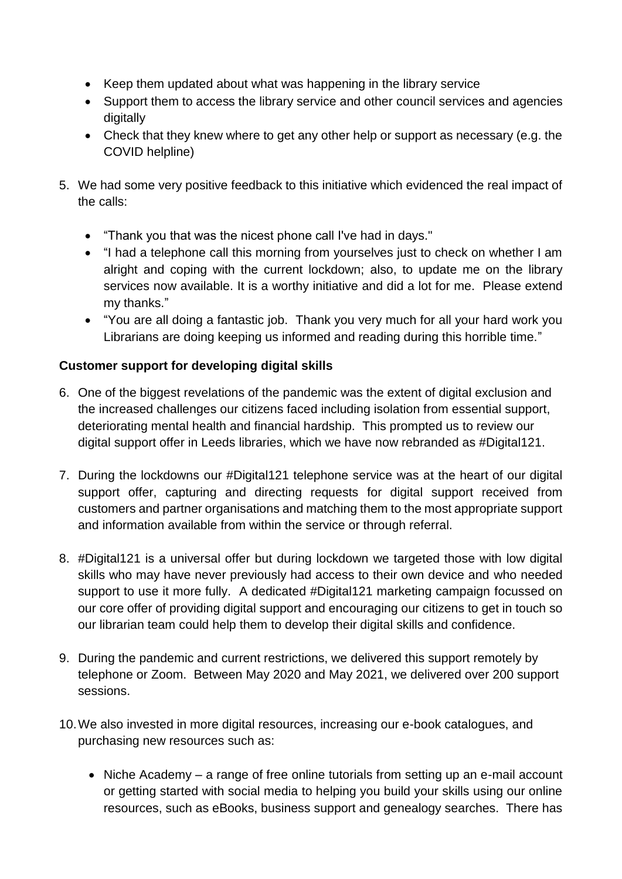- Keep them updated about what was happening in the library service
- Support them to access the library service and other council services and agencies digitally
- Check that they knew where to get any other help or support as necessary (e.g. the COVID helpline)
- 5. We had some very positive feedback to this initiative which evidenced the real impact of the calls:
	- "Thank you that was the nicest phone call I've had in days."
	- "I had a telephone call this morning from yourselves just to check on whether I am alright and coping with the current lockdown; also, to update me on the library services now available. It is a worthy initiative and did a lot for me. Please extend my thanks."
	- "You are all doing a fantastic job. Thank you very much for all your hard work you Librarians are doing keeping us informed and reading during this horrible time."

## **Customer support for developing digital skills**

- 6. One of the biggest revelations of the pandemic was the extent of digital exclusion and the increased challenges our citizens faced including isolation from essential support, deteriorating mental health and financial hardship. This prompted us to review our digital support offer in Leeds libraries, which we have now rebranded as #Digital121.
- 7. During the lockdowns our #Digital121 telephone service was at the heart of our digital support offer, capturing and directing requests for digital support received from customers and partner organisations and matching them to the most appropriate support and information available from within the service or through referral.
- 8. #Digital121 is a universal offer but during lockdown we targeted those with low digital skills who may have never previously had access to their own device and who needed support to use it more fully. A dedicated #Digital121 marketing campaign focussed on our core offer of providing digital support and encouraging our citizens to get in touch so our librarian team could help them to develop their digital skills and confidence.
- 9. During the pandemic and current restrictions, we delivered this support remotely by telephone or Zoom. Between May 2020 and May 2021, we delivered over 200 support sessions.
- 10.We also invested in more digital resources, increasing our e-book catalogues, and purchasing new resources such as:
	- Niche Academy a range of free online tutorials from setting up an e-mail account or getting started with social media to helping you build your skills using our online resources, such as eBooks, business support and genealogy searches. There has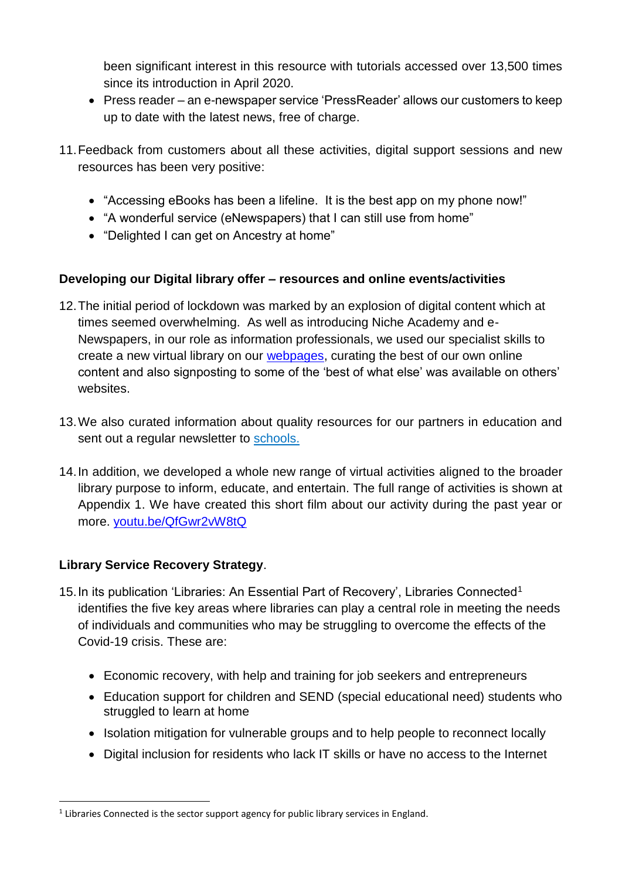been significant interest in this resource with tutorials accessed over 13,500 times since its introduction in April 2020.

- Press reader an e-newspaper service 'PressReader' allows our customers to keep up to date with the latest news, free of charge.
- 11.Feedback from customers about all these activities, digital support sessions and new resources has been very positive:
	- "Accessing eBooks has been a lifeline. It is the best app on my phone now!"
	- "A wonderful service (eNewspapers) that I can still use from home"
	- "Delighted I can get on Ancestry at home"

## **Developing our Digital library offer – resources and online events/activities**

- 12.The initial period of lockdown was marked by an explosion of digital content which at times seemed overwhelming. As well as introducing Niche Academy and e-Newspapers, in our role as information professionals, we used our specialist skills to create a new virtual library on our [webpages,](https://www.leeds.gov.uk/libraries) curating the best of our own online content and also signposting to some of the 'best of what else' was available on others' websites.
- 13.We also curated information about quality resources for our partners in education and sent out a regular newsletter to [schools.](http://www.leedsforlearning.co.uk/Page/17218)
- 14.In addition, we developed a whole new range of virtual activities aligned to the broader library purpose to inform, educate, and entertain. The full range of activities is shown at Appendix 1. We have created this short film about our activity during the past year or more. [youtu.be/QfGwr2vW8tQ](https://youtu.be/QfGwr2vW8tQ)

## **Library Service Recovery Strategy**.

1

- 15. In its publication 'Libraries: An Essential Part of Recovery', Libraries Connected<sup>1</sup> identifies the five key areas where libraries can play a central role in meeting the needs of individuals and communities who may be struggling to overcome the effects of the Covid-19 crisis. These are:
	- Economic recovery, with help and training for job seekers and entrepreneurs
	- Education support for children and SEND (special educational need) students who struggled to learn at home
	- Isolation mitigation for vulnerable groups and to help people to reconnect locally
	- Digital inclusion for residents who lack IT skills or have no access to the Internet

 $<sup>1</sup>$  Libraries Connected is the sector support agency for public library services in England.</sup>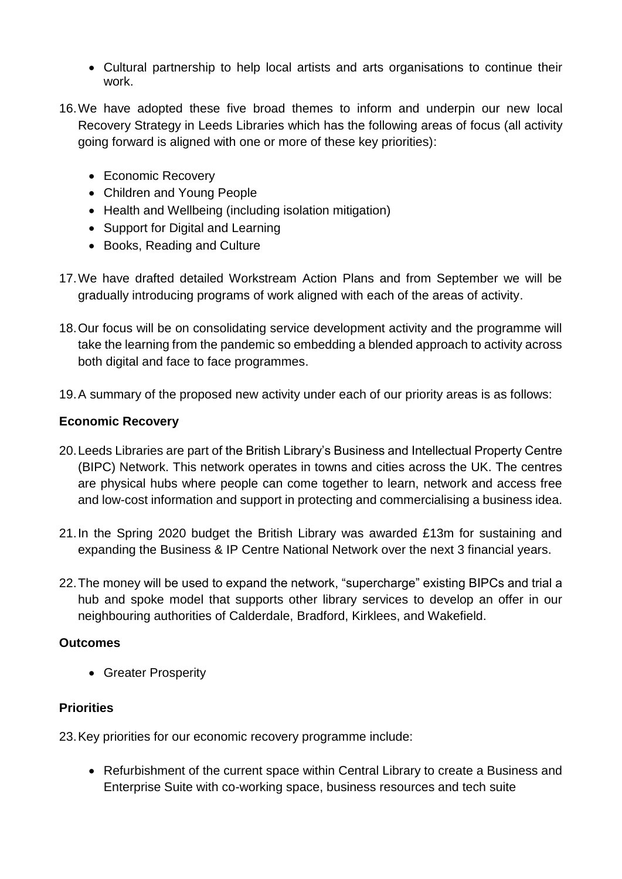- Cultural partnership to help local artists and arts organisations to continue their work.
- 16.We have adopted these five broad themes to inform and underpin our new local Recovery Strategy in Leeds Libraries which has the following areas of focus (all activity going forward is aligned with one or more of these key priorities):
	- Economic Recovery
	- Children and Young People
	- Health and Wellbeing (including isolation mitigation)
	- Support for Digital and Learning
	- Books, Reading and Culture
- 17.We have drafted detailed Workstream Action Plans and from September we will be gradually introducing programs of work aligned with each of the areas of activity.
- 18.Our focus will be on consolidating service development activity and the programme will take the learning from the pandemic so embedding a blended approach to activity across both digital and face to face programmes.
- 19.A summary of the proposed new activity under each of our priority areas is as follows:

#### **Economic Recovery**

- 20.Leeds Libraries are part of the British Library's Business and Intellectual Property Centre (BIPC) Network. This network operates in towns and cities across the UK. The centres are physical hubs where people can come together to learn, network and access free and low-cost information and support in protecting and commercialising a business idea.
- 21.In the Spring 2020 budget the British Library was awarded £13m for sustaining and expanding the Business & IP Centre National Network over the next 3 financial years.
- 22.The money will be used to expand the network, "supercharge" existing BIPCs and trial a hub and spoke model that supports other library services to develop an offer in our neighbouring authorities of Calderdale, Bradford, Kirklees, and Wakefield.

### **Outcomes**

• Greater Prosperity

### **Priorities**

23.Key priorities for our economic recovery programme include:

 Refurbishment of the current space within Central Library to create a Business and Enterprise Suite with co-working space, business resources and tech suite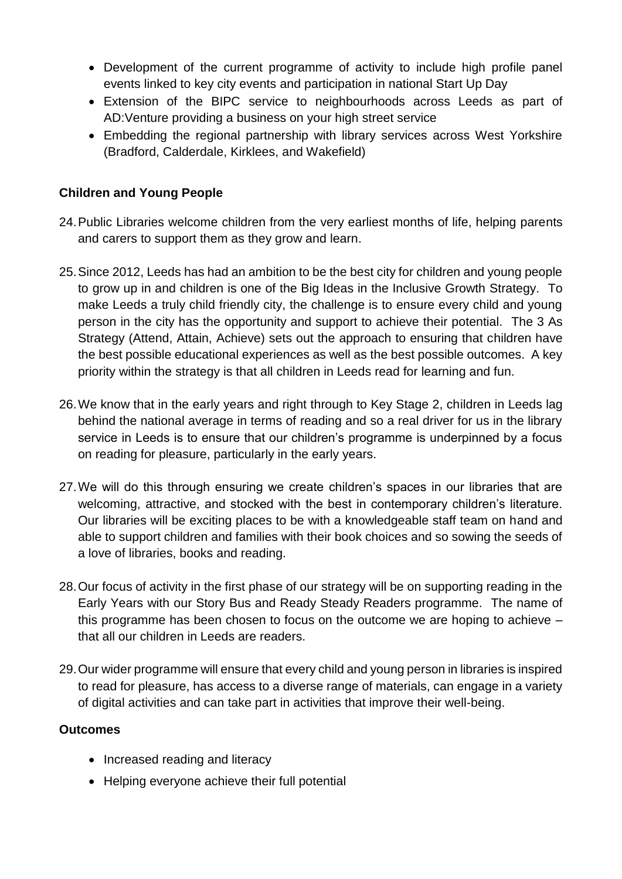- Development of the current programme of activity to include high profile panel events linked to key city events and participation in national Start Up Day
- Extension of the BIPC service to neighbourhoods across Leeds as part of AD:Venture providing a business on your high street service
- Embedding the regional partnership with library services across West Yorkshire (Bradford, Calderdale, Kirklees, and Wakefield)

## **Children and Young People**

- 24.Public Libraries welcome children from the very earliest months of life, helping parents and carers to support them as they grow and learn.
- 25.Since 2012, Leeds has had an ambition to be the best city for children and young people to grow up in and children is one of the Big Ideas in the Inclusive Growth Strategy. To make Leeds a truly child friendly city, the challenge is to ensure every child and young person in the city has the opportunity and support to achieve their potential. The 3 As Strategy (Attend, Attain, Achieve) sets out the approach to ensuring that children have the best possible educational experiences as well as the best possible outcomes. A key priority within the strategy is that all children in Leeds read for learning and fun.
- 26.We know that in the early years and right through to Key Stage 2, children in Leeds lag behind the national average in terms of reading and so a real driver for us in the library service in Leeds is to ensure that our children's programme is underpinned by a focus on reading for pleasure, particularly in the early years.
- 27.We will do this through ensuring we create children's spaces in our libraries that are welcoming, attractive, and stocked with the best in contemporary children's literature. Our libraries will be exciting places to be with a knowledgeable staff team on hand and able to support children and families with their book choices and so sowing the seeds of a love of libraries, books and reading.
- 28.Our focus of activity in the first phase of our strategy will be on supporting reading in the Early Years with our Story Bus and Ready Steady Readers programme. The name of this programme has been chosen to focus on the outcome we are hoping to achieve – that all our children in Leeds are readers.
- 29.Our wider programme will ensure that every child and young person in libraries is inspired to read for pleasure, has access to a diverse range of materials, can engage in a variety of digital activities and can take part in activities that improve their well-being.

### **Outcomes**

- Increased reading and literacy
- Helping everyone achieve their full potential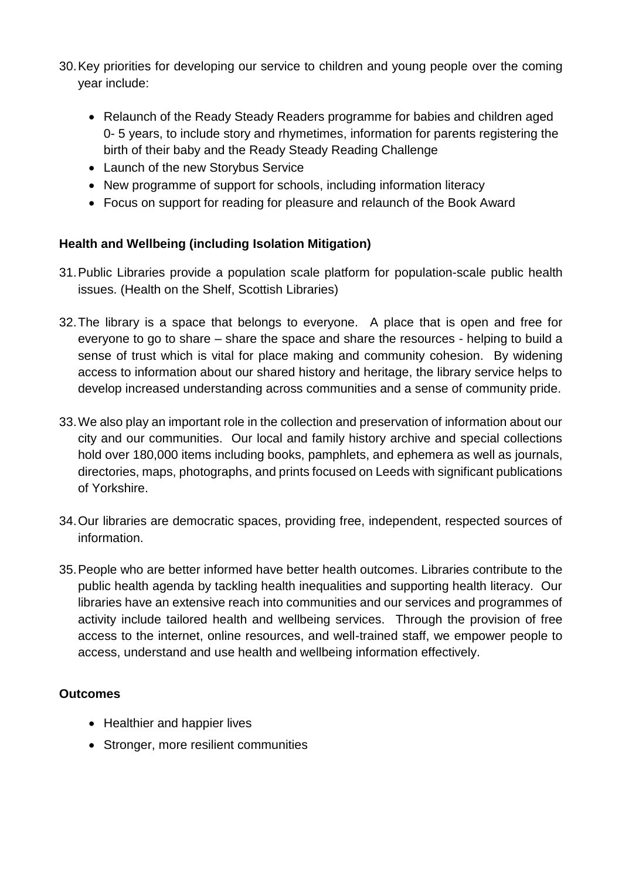- 30.Key priorities for developing our service to children and young people over the coming year include:
	- Relaunch of the Ready Steady Readers programme for babies and children aged 0- 5 years, to include story and rhymetimes, information for parents registering the birth of their baby and the Ready Steady Reading Challenge
	- Launch of the new Storybus Service
	- New programme of support for schools, including information literacy
	- Focus on support for reading for pleasure and relaunch of the Book Award

## **Health and Wellbeing (including Isolation Mitigation)**

- 31.Public Libraries provide a population scale platform for population-scale public health issues. (Health on the Shelf, Scottish Libraries)
- 32.The library is a space that belongs to everyone. A place that is open and free for everyone to go to share – share the space and share the resources - helping to build a sense of trust which is vital for place making and community cohesion. By widening access to information about our shared history and heritage, the library service helps to develop increased understanding across communities and a sense of community pride.
- 33.We also play an important role in the collection and preservation of information about our city and our communities. Our local and family history archive and special collections hold over 180,000 items including books, pamphlets, and ephemera as well as journals, directories, maps, photographs, and prints focused on Leeds with significant publications of Yorkshire.
- 34.Our libraries are democratic spaces, providing free, independent, respected sources of information.
- 35.People who are better informed have better health outcomes. Libraries contribute to the public health agenda by tackling health inequalities and supporting health literacy. Our libraries have an extensive reach into communities and our services and programmes of activity include tailored health and wellbeing services. Through the provision of free access to the internet, online resources, and well-trained staff, we empower people to access, understand and use health and wellbeing information effectively.

### **Outcomes**

- Healthier and happier lives
- Stronger, more resilient communities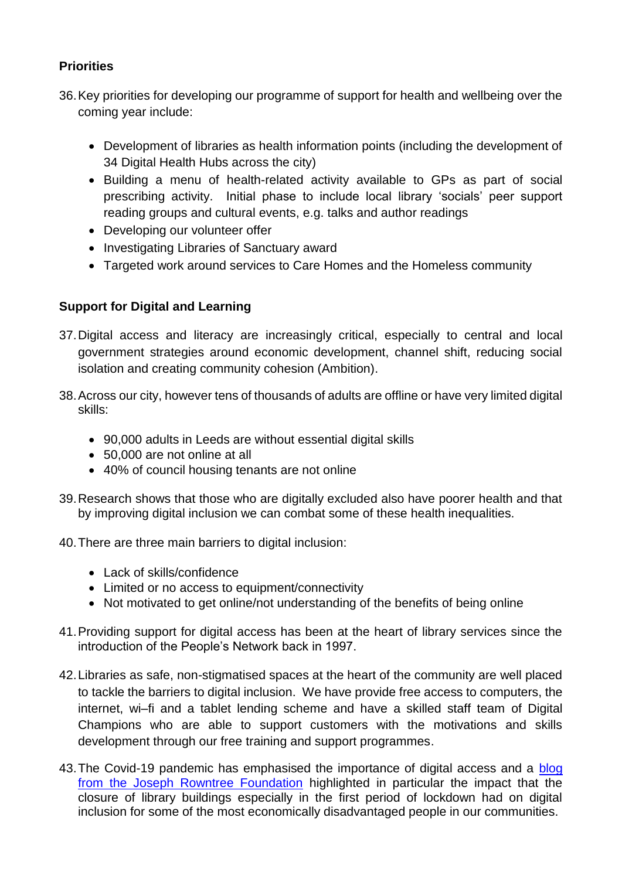## **Priorities**

- 36.Key priorities for developing our programme of support for health and wellbeing over the coming year include:
	- Development of libraries as health information points (including the development of 34 Digital Health Hubs across the city)
	- Building a menu of health-related activity available to GPs as part of social prescribing activity. Initial phase to include local library 'socials' peer support reading groups and cultural events, e.g. talks and author readings
	- Developing our volunteer offer
	- Investigating Libraries of Sanctuary award
	- Targeted work around services to Care Homes and the Homeless community

## **Support for Digital and Learning**

- 37.Digital access and literacy are increasingly critical, especially to central and local government strategies around economic development, channel shift, reducing social isolation and creating community cohesion (Ambition).
- 38.Across our city, however tens of thousands of adults are offline or have very limited digital skills:
	- 90,000 adults in Leeds are without essential digital skills
	- 50,000 are not online at all
	- 40% of council housing tenants are not online
- 39.Research shows that those who are digitally excluded also have poorer health and that by improving digital inclusion we can combat some of these health inequalities.
- 40.There are three main barriers to digital inclusion:
	- Lack of skills/confidence
	- Limited or no access to equipment/connectivity
	- Not motivated to get online/not understanding of the benefits of being online
- 41.Providing support for digital access has been at the heart of library services since the introduction of the People's Network back in 1997.
- 42.Libraries as safe, non-stigmatised spaces at the heart of the community are well placed to tackle the barriers to digital inclusion. We have provide free access to computers, the internet, wi–fi and a tablet lending scheme and have a skilled staff team of Digital Champions who are able to support customers with the motivations and skills development through our free training and support programmes.
- 43.The Covid-19 pandemic has emphasised the importance of digital access and a [blog](https://www.jrf.org.uk/blog/coronavirus-response-must-include-digital-access-connect-us-all)  [from the Joseph Rowntree Foundation](https://www.jrf.org.uk/blog/coronavirus-response-must-include-digital-access-connect-us-all) highlighted in particular the impact that the closure of library buildings especially in the first period of lockdown had on digital inclusion for some of the most economically disadvantaged people in our communities.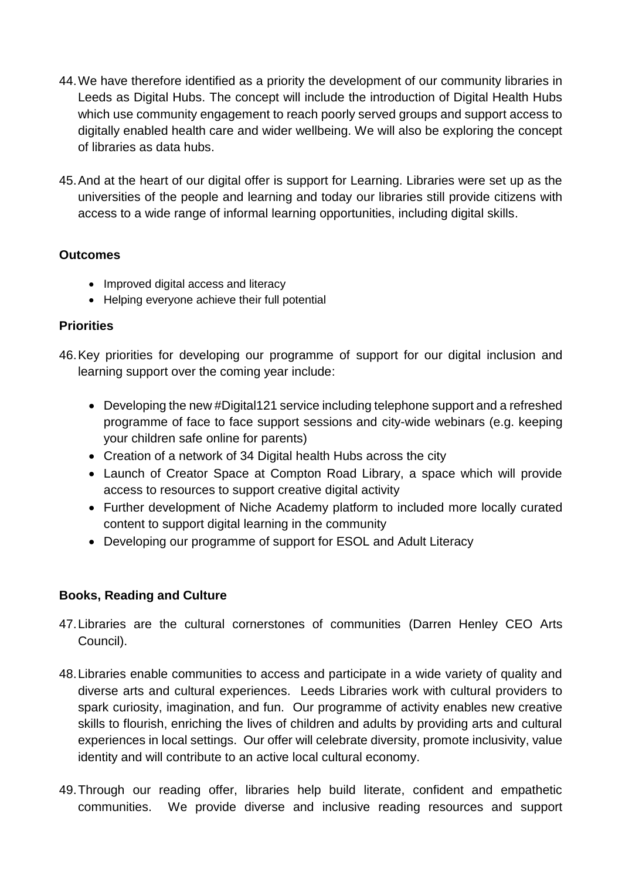- 44.We have therefore identified as a priority the development of our community libraries in Leeds as Digital Hubs. The concept will include the introduction of Digital Health Hubs which use community engagement to reach poorly served groups and support access to digitally enabled health care and wider wellbeing. We will also be exploring the concept of libraries as data hubs.
- 45.And at the heart of our digital offer is support for Learning. Libraries were set up as the universities of the people and learning and today our libraries still provide citizens with access to a wide range of informal learning opportunities, including digital skills.

### **Outcomes**

- Improved digital access and literacy
- Helping everyone achieve their full potential

## **Priorities**

- 46.Key priorities for developing our programme of support for our digital inclusion and learning support over the coming year include:
	- Developing the new #Digital121 service including telephone support and a refreshed programme of face to face support sessions and city-wide webinars (e.g. keeping your children safe online for parents)
	- Creation of a network of 34 Digital health Hubs across the city
	- Launch of Creator Space at Compton Road Library, a space which will provide access to resources to support creative digital activity
	- Further development of Niche Academy platform to included more locally curated content to support digital learning in the community
	- Developing our programme of support for ESOL and Adult Literacy

## **Books, Reading and Culture**

- 47.Libraries are the cultural cornerstones of communities (Darren Henley CEO Arts Council).
- 48.Libraries enable communities to access and participate in a wide variety of quality and diverse arts and cultural experiences. Leeds Libraries work with cultural providers to spark curiosity, imagination, and fun. Our programme of activity enables new creative skills to flourish, enriching the lives of children and adults by providing arts and cultural experiences in local settings. Our offer will celebrate diversity, promote inclusivity, value identity and will contribute to an active local cultural economy.
- 49.Through our reading offer, libraries help build literate, confident and empathetic communities. We provide diverse and inclusive reading resources and support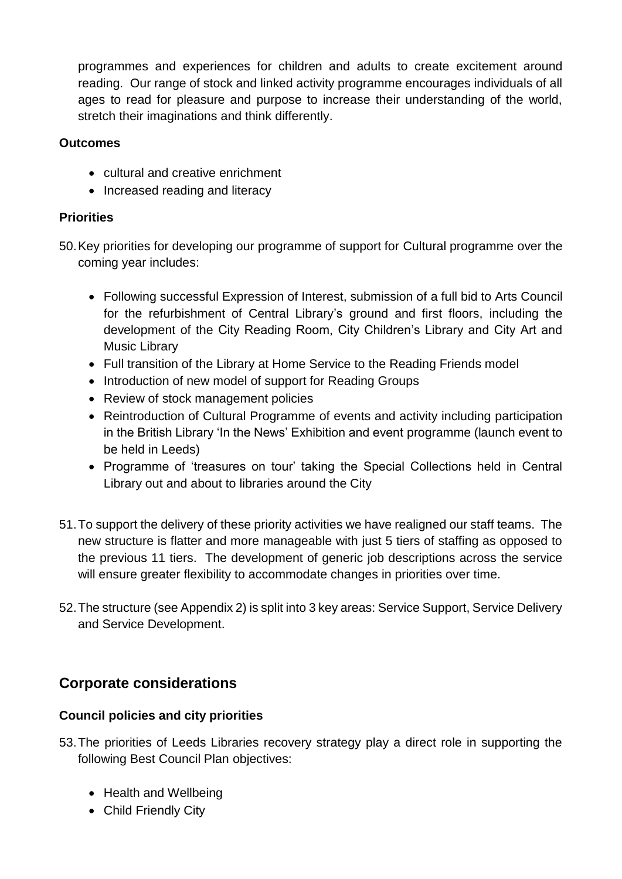programmes and experiences for children and adults to create excitement around reading. Our range of stock and linked activity programme encourages individuals of all ages to read for pleasure and purpose to increase their understanding of the world, stretch their imaginations and think differently.

### **Outcomes**

- cultural and creative enrichment
- Increased reading and literacy

## **Priorities**

50.Key priorities for developing our programme of support for Cultural programme over the coming year includes:

- Following successful Expression of Interest, submission of a full bid to Arts Council for the refurbishment of Central Library's ground and first floors, including the development of the City Reading Room, City Children's Library and City Art and Music Library
- Full transition of the Library at Home Service to the Reading Friends model
- Introduction of new model of support for Reading Groups
- Review of stock management policies
- Reintroduction of Cultural Programme of events and activity including participation in the British Library 'In the News' Exhibition and event programme (launch event to be held in Leeds)
- Programme of 'treasures on tour' taking the Special Collections held in Central Library out and about to libraries around the City
- 51.To support the delivery of these priority activities we have realigned our staff teams. The new structure is flatter and more manageable with just 5 tiers of staffing as opposed to the previous 11 tiers. The development of generic job descriptions across the service will ensure greater flexibility to accommodate changes in priorities over time.
- 52.The structure (see Appendix 2) is split into 3 key areas: Service Support, Service Delivery and Service Development.

## **Corporate considerations**

### **Council policies and city priorities**

- 53.The priorities of Leeds Libraries recovery strategy play a direct role in supporting the following Best Council Plan objectives:
	- Health and Wellbeing
	- Child Friendly City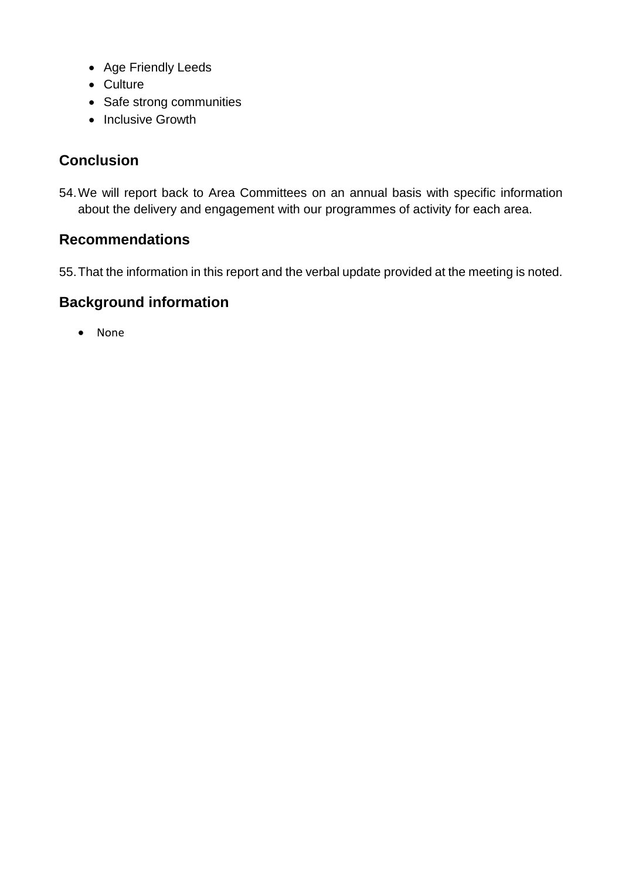- Age Friendly Leeds
- Culture
- Safe strong communities
- Inclusive Growth

## **Conclusion**

54.We will report back to Area Committees on an annual basis with specific information about the delivery and engagement with our programmes of activity for each area.

## **Recommendations**

55.That the information in this report and the verbal update provided at the meeting is noted.

## **Background information**

• None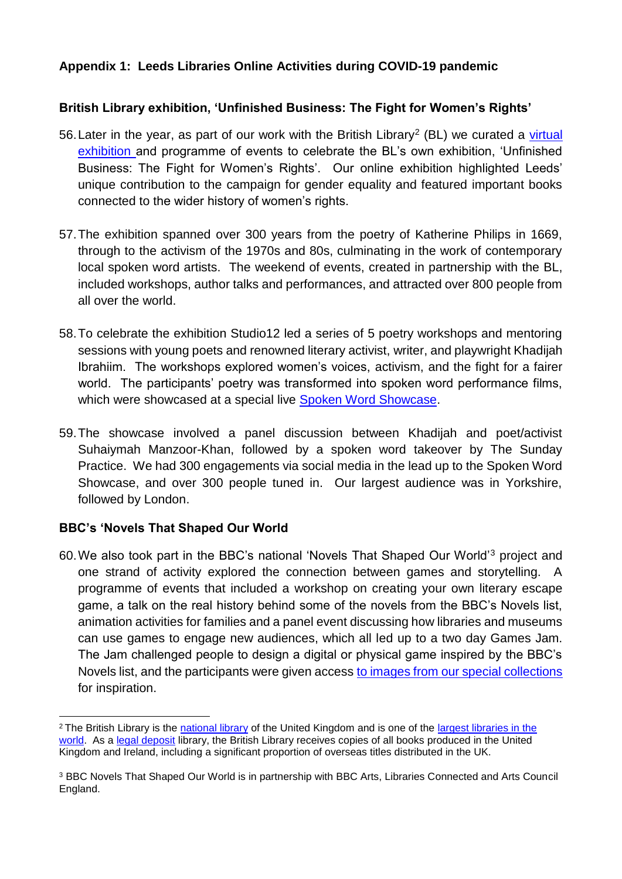### **Appendix 1: Leeds Libraries Online Activities during COVID-19 pandemic**

### **British Library exhibition, 'Unfinished Business: The Fight for Women's Rights'**

- 56. Later in the year, as part of our work with the British Library<sup>2</sup> (BL) we curated a virtual [exhibition](https://secretlibraryleeds.net/unfinished-business-the-fight-for-womens-rights/) and programme of events to celebrate the BL's own exhibition, 'Unfinished Business: The Fight for Women's Rights'. Our online exhibition highlighted Leeds' unique contribution to the campaign for gender equality and featured important books connected to the wider history of women's rights.
- 57.The exhibition spanned over 300 years from the poetry of Katherine Philips in 1669, through to the activism of the 1970s and 80s, culminating in the work of contemporary local spoken word artists. The weekend of events, created in partnership with the BL, included workshops, author talks and performances, and attracted over 800 people from all over the world.
- 58.To celebrate the exhibition Studio12 led a series of 5 poetry workshops and mentoring sessions with young poets and renowned literary activist, writer, and playwright Khadijah Ibrahiim. The workshops explored women's voices, activism, and the fight for a fairer world. The participants' poetry was transformed into spoken word performance films, which were showcased at a special live [Spoken Word Showcase.](http://living-knowledge-network.co.uk/library/leeds-spoken-word-showcase-with-studio12-and-sunday-practise)
- 59.The showcase involved a panel discussion between Khadijah and poet/activist Suhaiymah Manzoor-Khan, followed by a spoken word takeover by The Sunday Practice. We had 300 engagements via social media in the lead up to the Spoken Word Showcase, and over 300 people tuned in. Our largest audience was in Yorkshire, followed by London.

### **BBC's 'Novels That Shaped Our World**

<u>.</u>

60.We also took part in the BBC's national 'Novels That Shaped Our World'<sup>3</sup> project and one strand of activity explored the connection between games and storytelling. A programme of events that included a workshop on creating your own literary escape game, a talk on the real history behind some of the novels from the BBC's Novels list, animation activities for families and a panel event discussing how libraries and museums can use games to engage new audiences, which all led up to a two day Games Jam. The Jam challenged people to design a digital or physical game inspired by the BBC's Novels list, and the participants were given access [to images from our special collections](https://www.flickr.com/photos/leedslibraries/collections/72157718601503946/) for inspiration.

<sup>&</sup>lt;sup>2</sup> The British Library is the [national library](https://en.wikipedia.org/wiki/National_library) of the United Kingdom and is one of the largest libraries in the [world.](https://en.wikipedia.org/wiki/List_of_largest_libraries) As a [legal deposit](https://en.wikipedia.org/wiki/Legal_deposit) library, the British Library receives copies of all books produced in the United Kingdom and Ireland, including a significant proportion of overseas titles distributed in the UK.

<sup>3</sup> BBC Novels That Shaped Our World is in partnership with BBC Arts, Libraries Connected and Arts Council England.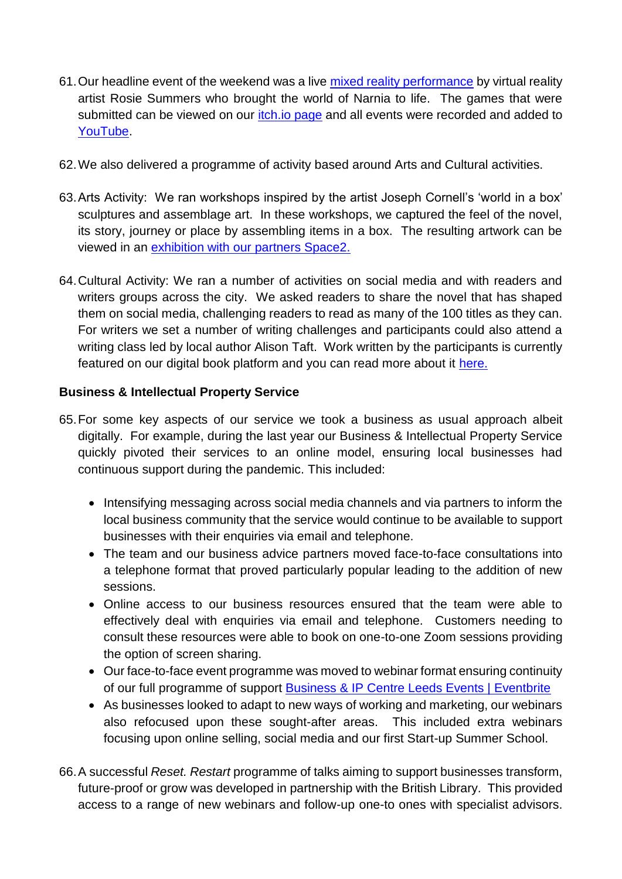- 61.Our headline event of the weekend was a live [mixed reality performance](https://www.youtube.com/watch?v=O4uyzbm_eQM&list=PLkero3eEEZV_gkK_-Dvu5uVxkHr2sqoZ6&index=3) by virtual reality artist Rosie Summers who brought the world of Narnia to life. The games that were submitted can be viewed on our *itch.io page* and all events were recorded and added to [YouTube.](https://www.youtube.com/playlist?list=PLkero3eEEZV_gkK_-Dvu5uVxkHr2sqoZ6)
- 62.We also delivered a programme of activity based around Arts and Cultural activities.
- 63.Arts Activity: We ran workshops inspired by the artist Joseph Cornell's 'world in a box' sculptures and assemblage art. In these workshops, we captured the feel of the novel, its story, journey or place by assembling items in a box. The resulting artwork can be viewed in an [exhibition with our partners Space2.](https://twitter.com/leedslibraries/status/1407616166688870403?s=20)
- 64.Cultural Activity: We ran a number of activities on social media and with readers and writers groups across the city. We asked readers to share the novel that has shaped them on social media, challenging readers to read as many of the 100 titles as they can. For writers we set a number of writing challenges and participants could also attend a writing class led by local author Alison Taft. Work written by the participants is currently featured on our digital book platform and you can read more about it [here.](https://leedsreads.net/bbc-100-novels-that-shaped-our-world-3/)

## **Business & Intellectual Property Service**

- 65.For some key aspects of our service we took a business as usual approach albeit digitally. For example, during the last year our Business & Intellectual Property Service quickly pivoted their services to an online model, ensuring local businesses had continuous support during the pandemic. This included:
	- Intensifying messaging across social media channels and via partners to inform the local business community that the service would continue to be available to support businesses with their enquiries via email and telephone.
	- The team and our business advice partners moved face-to-face consultations into a telephone format that proved particularly popular leading to the addition of new sessions.
	- Online access to our business resources ensured that the team were able to effectively deal with enquiries via email and telephone. Customers needing to consult these resources were able to book on one-to-one Zoom sessions providing the option of screen sharing.
	- Our face-to-face event programme was moved to webinar format ensuring continuity of our full programme of support [Business & IP Centre Leeds Events | Eventbrite](https://www.eventbrite.co.uk/o/business-amp-ip-centre-leeds-2985198129)
	- As businesses looked to adapt to new ways of working and marketing, our webinars also refocused upon these sought-after areas. This included extra webinars focusing upon online selling, social media and our first Start-up Summer School.
- 66.A successful *Reset. Restart* programme of talks aiming to support businesses transform, future-proof or grow was developed in partnership with the British Library. This provided access to a range of new webinars and follow-up one-to ones with specialist advisors.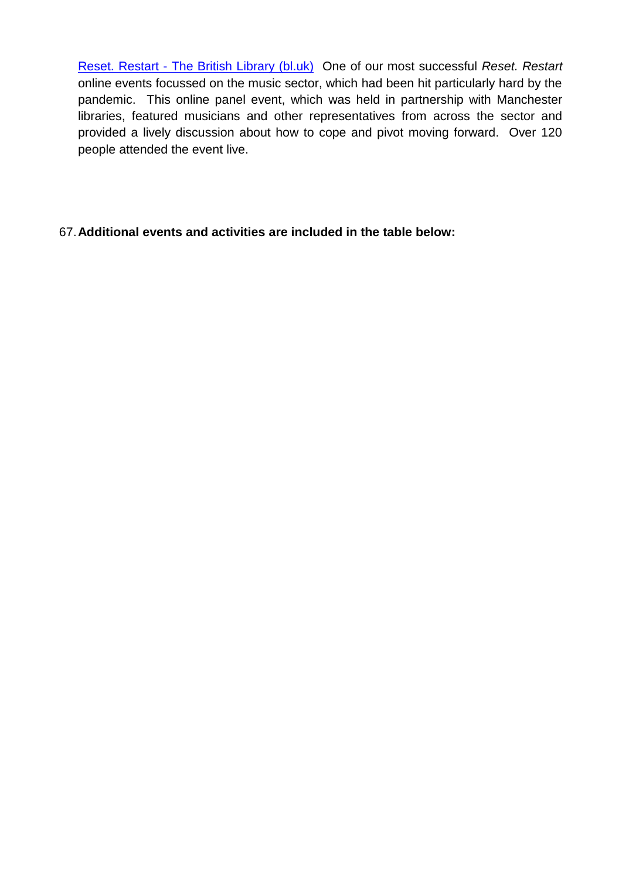Reset. Restart - [The British Library \(bl.uk\)](https://www.bl.uk/events/reset-restart?gclid=Cj0KCQjw2tCGBhCLARIsABJGmZ5qD6O9wCLbediOTsIQ6qvARfWyUa9V0V7NuD3awVckPpmISGgy60caAimpEALw_wcB) One of our most successful *Reset. Restart* online events focussed on the music sector, which had been hit particularly hard by the pandemic. This online panel event, which was held in partnership with Manchester libraries, featured musicians and other representatives from across the sector and provided a lively discussion about how to cope and pivot moving forward. Over 120 people attended the event live.

### 67.**Additional events and activities are included in the table below:**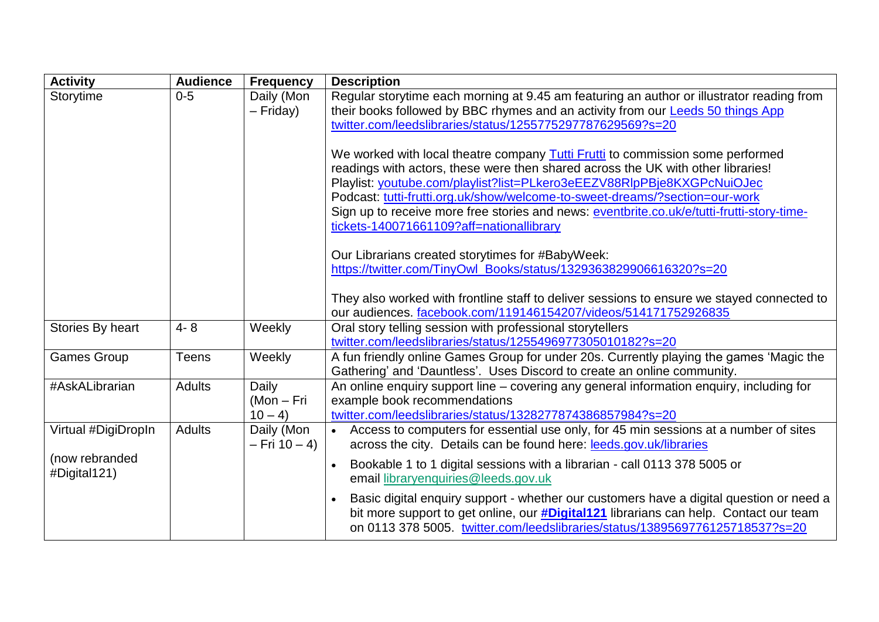| <b>Activity</b>                | <b>Audience</b> | <b>Frequency</b>                 | <b>Description</b>                                                                                                                                                                                                                                                                                                                                                                                                                                                                                                                                                                                                                                                             |
|--------------------------------|-----------------|----------------------------------|--------------------------------------------------------------------------------------------------------------------------------------------------------------------------------------------------------------------------------------------------------------------------------------------------------------------------------------------------------------------------------------------------------------------------------------------------------------------------------------------------------------------------------------------------------------------------------------------------------------------------------------------------------------------------------|
| Storytime                      | $0-5$           | Daily (Mon<br>$-$ Friday)        | Regular storytime each morning at 9.45 am featuring an author or illustrator reading from<br>their books followed by BBC rhymes and an activity from our Leeds 50 things App<br>twitter.com/leedslibraries/status/1255775297787629569?s=20<br>We worked with local theatre company <b>Tutti Frutti</b> to commission some performed<br>readings with actors, these were then shared across the UK with other libraries!<br>Playlist: youtube.com/playlist?list=PLkero3eEEZV88RlpPBje8KXGPcNuiOJec<br>Podcast: tutti-frutti.org.uk/show/welcome-to-sweet-dreams/?section=our-work<br>Sign up to receive more free stories and news: eventbrite.co.uk/e/tutti-frutti-story-time- |
|                                |                 |                                  | tickets-140071661109?aff=nationallibrary<br>Our Librarians created storytimes for #BabyWeek:<br>https://twitter.com/TinyOwl_Books/status/1329363829906616320?s=20<br>They also worked with frontline staff to deliver sessions to ensure we stayed connected to<br>our audiences. facebook.com/119146154207/videos/514171752926835                                                                                                                                                                                                                                                                                                                                             |
| Stories By heart               | $4 - 8$         | Weekly                           | Oral story telling session with professional storytellers<br>twitter.com/leedslibraries/status/1255496977305010182?s=20                                                                                                                                                                                                                                                                                                                                                                                                                                                                                                                                                        |
| <b>Games Group</b>             | <b>Teens</b>    | Weekly                           | A fun friendly online Games Group for under 20s. Currently playing the games 'Magic the<br>Gathering' and 'Dauntless'. Uses Discord to create an online community.                                                                                                                                                                                                                                                                                                                                                                                                                                                                                                             |
| #AskALibrarian                 | <b>Adults</b>   | Daily<br>$(Mon-Fri)$<br>$10 - 4$ | An online enquiry support line – covering any general information enquiry, including for<br>example book recommendations<br>twitter.com/leedslibraries/status/1328277874386857984?s=20                                                                                                                                                                                                                                                                                                                                                                                                                                                                                         |
| Virtual #DigiDropIn            | <b>Adults</b>   | Daily (Mon<br>$-$ Fri 10 $-$ 4)  | Access to computers for essential use only, for 45 min sessions at a number of sites<br>across the city. Details can be found here: leeds.gov.uk/libraries                                                                                                                                                                                                                                                                                                                                                                                                                                                                                                                     |
| (now rebranded<br>#Digital121) |                 |                                  | Bookable 1 to 1 digital sessions with a librarian - call 0113 378 5005 or<br>email libraryenquiries@leeds.gov.uk<br>Basic digital enquiry support - whether our customers have a digital question or need a<br>bit more support to get online, our <b>#Digital121</b> librarians can help. Contact our team<br>on 0113 378 5005. twitter.com/leedslibraries/status/1389569776125718537?s=20                                                                                                                                                                                                                                                                                    |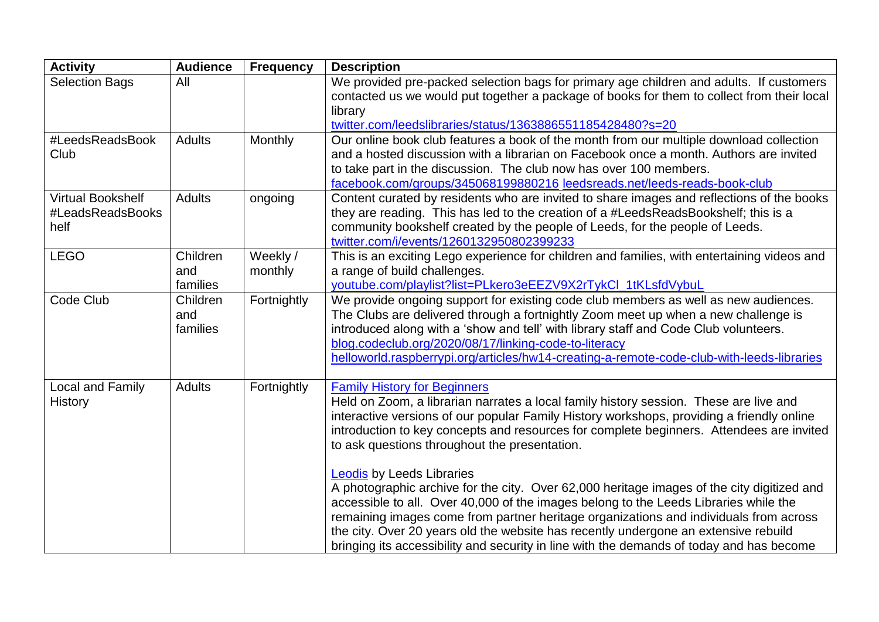| <b>Activity</b>                                      | <b>Audience</b>             | <b>Frequency</b>    | <b>Description</b>                                                                                                                                                                                                                                                                                                                                                                                                                                                                                 |
|------------------------------------------------------|-----------------------------|---------------------|----------------------------------------------------------------------------------------------------------------------------------------------------------------------------------------------------------------------------------------------------------------------------------------------------------------------------------------------------------------------------------------------------------------------------------------------------------------------------------------------------|
| <b>Selection Bags</b>                                | All                         |                     | We provided pre-packed selection bags for primary age children and adults. If customers<br>contacted us we would put together a package of books for them to collect from their local                                                                                                                                                                                                                                                                                                              |
|                                                      |                             |                     | library<br>twitter.com/leedslibraries/status/1363886551185428480?s=20                                                                                                                                                                                                                                                                                                                                                                                                                              |
| #LeedsReadsBook<br>Club                              | <b>Adults</b>               | Monthly             | Our online book club features a book of the month from our multiple download collection<br>and a hosted discussion with a librarian on Facebook once a month. Authors are invited<br>to take part in the discussion. The club now has over 100 members.<br>facebook.com/groups/345068199880216 leedsreads.net/leeds-reads-book-club                                                                                                                                                                |
| <b>Virtual Bookshelf</b><br>#LeadsReadsBooks<br>helf | <b>Adults</b>               | ongoing             | Content curated by residents who are invited to share images and reflections of the books<br>they are reading. This has led to the creation of a #LeedsReadsBookshelf; this is a<br>community bookshelf created by the people of Leeds, for the people of Leeds.<br>twitter.com/i/events/1260132950802399233                                                                                                                                                                                       |
| <b>LEGO</b>                                          | Children<br>and<br>families | Weekly /<br>monthly | This is an exciting Lego experience for children and families, with entertaining videos and<br>a range of build challenges.<br>youtube.com/playlist?list=PLkero3eEEZV9X2rTykCl 1tKLsfdVybuL                                                                                                                                                                                                                                                                                                        |
| Code Club                                            | Children<br>and<br>families | Fortnightly         | We provide ongoing support for existing code club members as well as new audiences.<br>The Clubs are delivered through a fortnightly Zoom meet up when a new challenge is<br>introduced along with a 'show and tell' with library staff and Code Club volunteers.<br>blog.codeclub.org/2020/08/17/linking-code-to-literacy<br>helloworld.raspberrypi.org/articles/hw14-creating-a-remote-code-club-with-leeds-libraries                                                                            |
| <b>Local and Family</b><br><b>History</b>            | <b>Adults</b>               | Fortnightly         | <b>Family History for Beginners</b><br>Held on Zoom, a librarian narrates a local family history session. These are live and<br>interactive versions of our popular Family History workshops, providing a friendly online<br>introduction to key concepts and resources for complete beginners. Attendees are invited<br>to ask questions throughout the presentation.                                                                                                                             |
|                                                      |                             |                     | <b>Leodis by Leeds Libraries</b><br>A photographic archive for the city. Over 62,000 heritage images of the city digitized and<br>accessible to all. Over 40,000 of the images belong to the Leeds Libraries while the<br>remaining images come from partner heritage organizations and individuals from across<br>the city. Over 20 years old the website has recently undergone an extensive rebuild<br>bringing its accessibility and security in line with the demands of today and has become |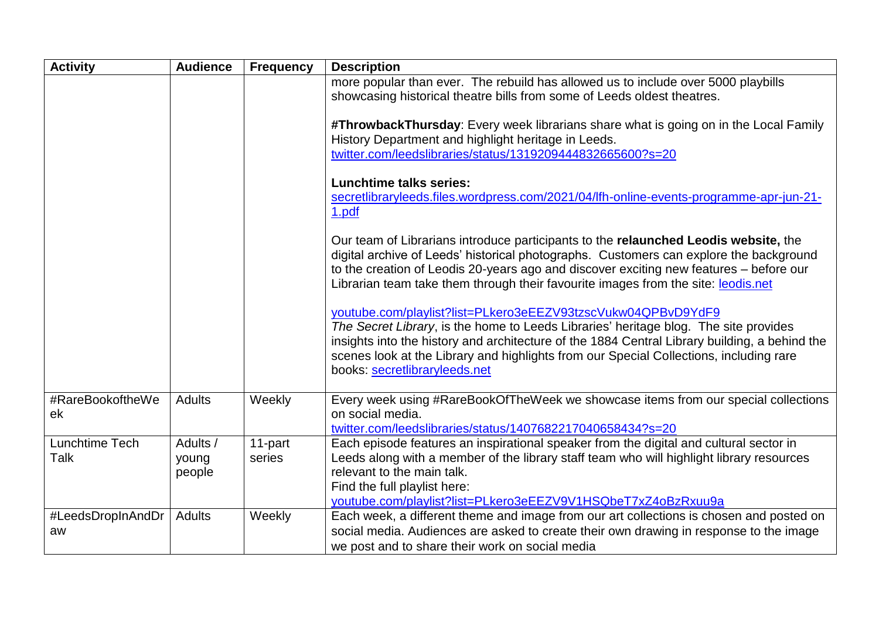| <b>Activity</b>         | <b>Audience</b>             | <b>Frequency</b>  | <b>Description</b>                                                                                                                                                                                                                                                                                                                                                               |
|-------------------------|-----------------------------|-------------------|----------------------------------------------------------------------------------------------------------------------------------------------------------------------------------------------------------------------------------------------------------------------------------------------------------------------------------------------------------------------------------|
|                         |                             |                   | more popular than ever. The rebuild has allowed us to include over 5000 playbills<br>showcasing historical theatre bills from some of Leeds oldest theatres.                                                                                                                                                                                                                     |
|                         |                             |                   | #ThrowbackThursday: Every week librarians share what is going on in the Local Family<br>History Department and highlight heritage in Leeds.<br>twitter.com/leedslibraries/status/1319209444832665600?s=20                                                                                                                                                                        |
|                         |                             |                   | <b>Lunchtime talks series:</b><br>secretlibraryleeds.files.wordpress.com/2021/04/lfh-online-events-programme-apr-jun-21-<br>1.pdf                                                                                                                                                                                                                                                |
|                         |                             |                   | Our team of Librarians introduce participants to the relaunched Leodis website, the<br>digital archive of Leeds' historical photographs. Customers can explore the background<br>to the creation of Leodis 20-years ago and discover exciting new features – before our<br>Librarian team take them through their favourite images from the site: leodis.net                     |
|                         |                             |                   | youtube.com/playlist?list=PLkero3eEEZV93tzscVukw04QPBvD9YdF9<br>The Secret Library, is the home to Leeds Libraries' heritage blog. The site provides<br>insights into the history and architecture of the 1884 Central Library building, a behind the<br>scenes look at the Library and highlights from our Special Collections, including rare<br>books: secretlibraryleeds.net |
| #RareBookoftheWe<br>ek  | <b>Adults</b>               | Weekly            | Every week using #RareBookOfTheWeek we showcase items from our special collections<br>on social media.<br>twitter.com/leedslibraries/status/1407682217040658434?s=20                                                                                                                                                                                                             |
| Lunchtime Tech<br>Talk  | Adults /<br>young<br>people | 11-part<br>series | Each episode features an inspirational speaker from the digital and cultural sector in<br>Leeds along with a member of the library staff team who will highlight library resources<br>relevant to the main talk.<br>Find the full playlist here:<br>youtube.com/playlist?list=PLkero3eEEZV9V1HSQbeT7xZ4oBzRxuu9a                                                                 |
| #LeedsDropInAndDr<br>aw | <b>Adults</b>               | Weekly            | Each week, a different theme and image from our art collections is chosen and posted on<br>social media. Audiences are asked to create their own drawing in response to the image<br>we post and to share their work on social media                                                                                                                                             |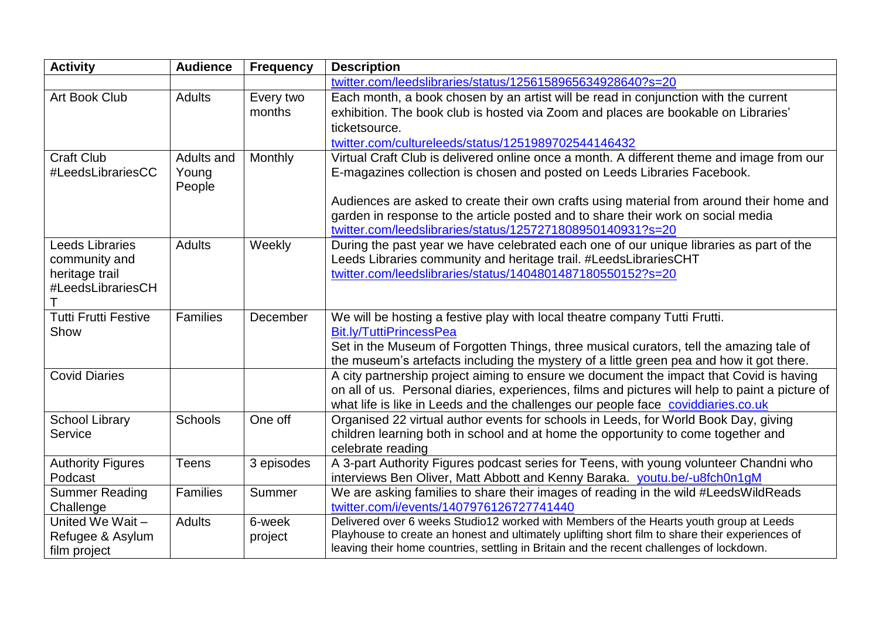| <b>Activity</b>                  | <b>Audience</b> | <b>Frequency</b> | <b>Description</b>                                                                                                                 |
|----------------------------------|-----------------|------------------|------------------------------------------------------------------------------------------------------------------------------------|
|                                  |                 |                  | twitter.com/leedslibraries/status/1256158965634928640?s=20                                                                         |
| Art Book Club                    | <b>Adults</b>   | Every two        | Each month, a book chosen by an artist will be read in conjunction with the current                                                |
|                                  |                 | months           | exhibition. The book club is hosted via Zoom and places are bookable on Libraries'                                                 |
|                                  |                 |                  | ticketsource.                                                                                                                      |
|                                  |                 |                  | twitter.com/cultureleeds/status/1251989702544146432                                                                                |
| <b>Craft Club</b>                | Adults and      | Monthly          | Virtual Craft Club is delivered online once a month. A different theme and image from our                                          |
| #LeedsLibrariesCC                | Young<br>People |                  | E-magazines collection is chosen and posted on Leeds Libraries Facebook.                                                           |
|                                  |                 |                  | Audiences are asked to create their own crafts using material from around their home and                                           |
|                                  |                 |                  | garden in response to the article posted and to share their work on social media                                                   |
|                                  |                 |                  | twitter.com/leedslibraries/status/1257271808950140931?s=20                                                                         |
| <b>Leeds Libraries</b>           | <b>Adults</b>   | Weekly           | During the past year we have celebrated each one of our unique libraries as part of the                                            |
| community and                    |                 |                  | Leeds Libraries community and heritage trail. #LeedsLibrariesCHT                                                                   |
| heritage trail                   |                 |                  | twitter.com/leedslibraries/status/1404801487180550152?s=20                                                                         |
| #LeedsLibrariesCH                |                 |                  |                                                                                                                                    |
| <b>Tutti Frutti Festive</b>      | <b>Families</b> | December         | We will be hosting a festive play with local theatre company Tutti Frutti.                                                         |
| Show                             |                 |                  | <b>Bit.lv/TuttiPrincessPea</b>                                                                                                     |
|                                  |                 |                  | Set in the Museum of Forgotten Things, three musical curators, tell the amazing tale of                                            |
|                                  |                 |                  | the museum's artefacts including the mystery of a little green pea and how it got there.                                           |
| <b>Covid Diaries</b>             |                 |                  | A city partnership project aiming to ensure we document the impact that Covid is having                                            |
|                                  |                 |                  | on all of us. Personal diaries, experiences, films and pictures will help to paint a picture of                                    |
|                                  |                 |                  | what life is like in Leeds and the challenges our people face coviddiaries.co.uk                                                   |
| <b>School Library</b>            | Schools         | One off          | Organised 22 virtual author events for schools in Leeds, for World Book Day, giving                                                |
| Service                          |                 |                  | children learning both in school and at home the opportunity to come together and                                                  |
|                                  |                 |                  | celebrate reading                                                                                                                  |
| <b>Authority Figures</b>         | <b>Teens</b>    | 3 episodes       | A 3-part Authority Figures podcast series for Teens, with young volunteer Chandni who                                              |
| Podcast                          |                 |                  | interviews Ben Oliver, Matt Abbott and Kenny Baraka. youtu.be/-u8fch0n1gM                                                          |
| <b>Summer Reading</b>            | Families        | Summer           | We are asking families to share their images of reading in the wild #LeedsWildReads                                                |
| Challenge<br>United We Wait -    |                 |                  | twitter.com/i/events/1407976126727741440<br>Delivered over 6 weeks Studio12 worked with Members of the Hearts youth group at Leeds |
|                                  | <b>Adults</b>   | 6-week           | Playhouse to create an honest and ultimately uplifting short film to share their experiences of                                    |
| Refugee & Asylum<br>film project |                 | project          | leaving their home countries, settling in Britain and the recent challenges of lockdown.                                           |
|                                  |                 |                  |                                                                                                                                    |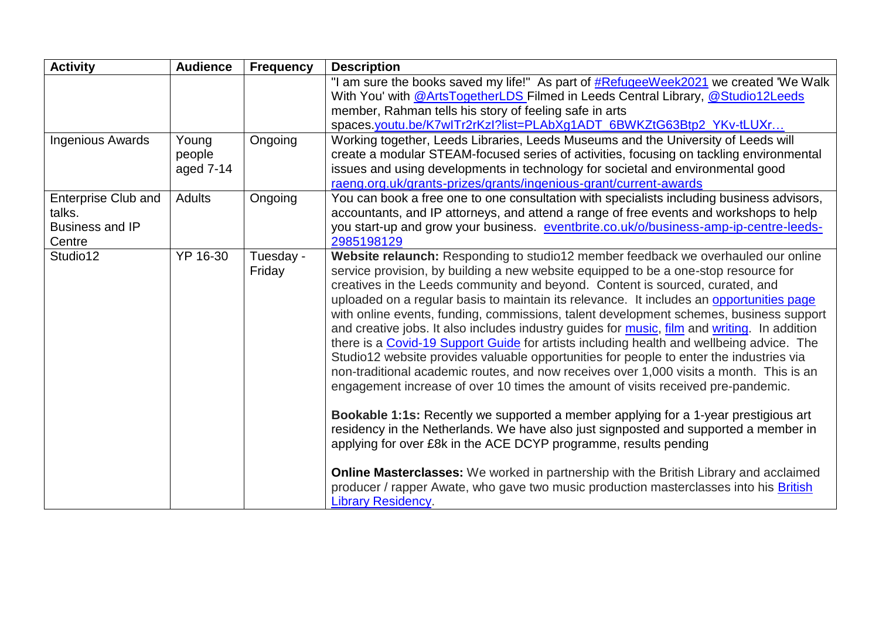| <b>Activity</b>                                                          | <b>Audience</b>              | <b>Frequency</b>    | <b>Description</b>                                                                                                                                                                                                                                                                                                                                                                                                                                                                                                                                                                                                                                                                                                                                                                                                                                                                                                                                                                                                                                                                                                                                                                                                                                                                                                                                                                                    |
|--------------------------------------------------------------------------|------------------------------|---------------------|-------------------------------------------------------------------------------------------------------------------------------------------------------------------------------------------------------------------------------------------------------------------------------------------------------------------------------------------------------------------------------------------------------------------------------------------------------------------------------------------------------------------------------------------------------------------------------------------------------------------------------------------------------------------------------------------------------------------------------------------------------------------------------------------------------------------------------------------------------------------------------------------------------------------------------------------------------------------------------------------------------------------------------------------------------------------------------------------------------------------------------------------------------------------------------------------------------------------------------------------------------------------------------------------------------------------------------------------------------------------------------------------------------|
|                                                                          |                              |                     | "I am sure the books saved my life!" As part of #RefugeeWeek2021 we created 'We Walk<br>With You' with @ArtsTogetherLDS Filmed in Leeds Central Library, @Studio12Leeds<br>member, Rahman tells his story of feeling safe in arts<br>spaces.youtu.be/K7wITr2rKzI?list=PLAbXg1ADT_6BWKZtG63Btp2_YKv-tLUXr                                                                                                                                                                                                                                                                                                                                                                                                                                                                                                                                                                                                                                                                                                                                                                                                                                                                                                                                                                                                                                                                                              |
| <b>Ingenious Awards</b>                                                  | Young<br>people<br>aged 7-14 | Ongoing             | Working together, Leeds Libraries, Leeds Museums and the University of Leeds will<br>create a modular STEAM-focused series of activities, focusing on tackling environmental<br>issues and using developments in technology for societal and environmental good<br>raeng.org.uk/grants-prizes/grants/ingenious-grant/current-awards                                                                                                                                                                                                                                                                                                                                                                                                                                                                                                                                                                                                                                                                                                                                                                                                                                                                                                                                                                                                                                                                   |
| <b>Enterprise Club and</b><br>talks.<br><b>Business and IP</b><br>Centre | <b>Adults</b>                | Ongoing             | You can book a free one to one consultation with specialists including business advisors,<br>accountants, and IP attorneys, and attend a range of free events and workshops to help<br>you start-up and grow your business. eventbrite.co.uk/o/business-amp-ip-centre-leeds-<br>2985198129                                                                                                                                                                                                                                                                                                                                                                                                                                                                                                                                                                                                                                                                                                                                                                                                                                                                                                                                                                                                                                                                                                            |
| Studio12                                                                 | YP 16-30                     | Tuesday -<br>Friday | Website relaunch: Responding to studio12 member feedback we overhauled our online<br>service provision, by building a new website equipped to be a one-stop resource for<br>creatives in the Leeds community and beyond. Content is sourced, curated, and<br>uploaded on a regular basis to maintain its relevance. It includes an opportunities page<br>with online events, funding, commissions, talent development schemes, business support<br>and creative jobs. It also includes industry guides for music, film and writing. In addition<br>there is a Covid-19 Support Guide for artists including health and wellbeing advice. The<br>Studio12 website provides valuable opportunities for people to enter the industries via<br>non-traditional academic routes, and now receives over 1,000 visits a month. This is an<br>engagement increase of over 10 times the amount of visits received pre-pandemic.<br>Bookable 1:1s: Recently we supported a member applying for a 1-year prestigious art<br>residency in the Netherlands. We have also just signposted and supported a member in<br>applying for over £8k in the ACE DCYP programme, results pending<br><b>Online Masterclasses:</b> We worked in partnership with the British Library and acclaimed<br>producer / rapper Awate, who gave two music production masterclasses into his <b>British</b><br><b>Library Residency.</b> |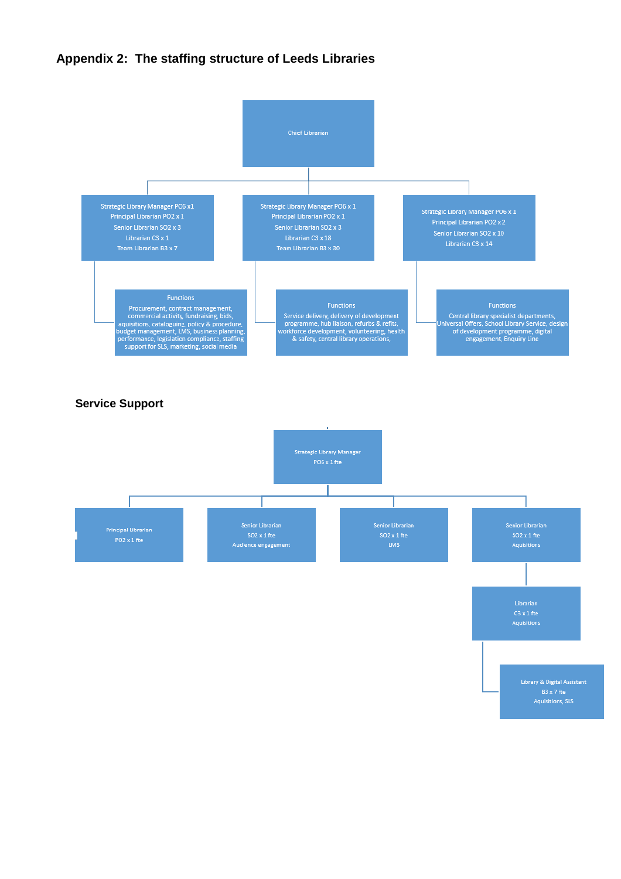#### **Appendix 2: The staffing structure of Leeds Libraries**